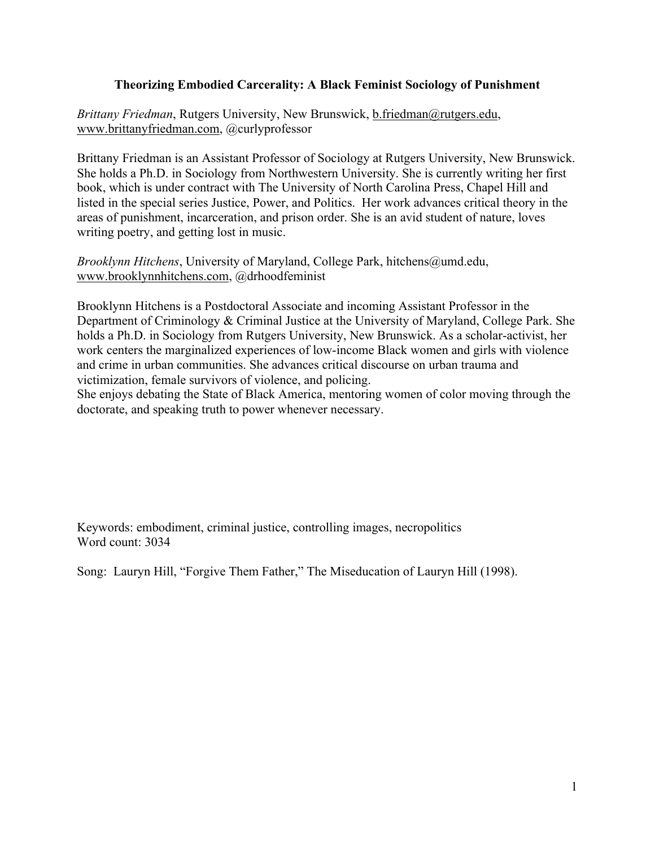# **Theorizing Embodied Carcerality: A Black Feminist Sociology of Punishment**

*Brittany Friedman*, Rutgers University, New Brunswick, b.friedman@rutgers.edu, www.brittanyfriedman.com, @curlyprofessor

Brittany Friedman is an Assistant Professor of Sociology at Rutgers University, New Brunswick. She holds a Ph.D. in Sociology from Northwestern University. She is currently writing her first book, which is under contract with The University of North Carolina Press, Chapel Hill and listed in the special series Justice, Power, and Politics. Her work advances critical theory in the areas of punishment, incarceration, and prison order. She is an avid student of nature, loves writing poetry, and getting lost in music.

*Brooklynn Hitchens*, University of Maryland, College Park, hitchens@umd.edu, www.brooklynnhitchens.com, @drhoodfeminist

Brooklynn Hitchens is a Postdoctoral Associate and incoming Assistant Professor in the Department of Criminology & Criminal Justice at the University of Maryland, College Park. She holds a Ph.D. in Sociology from Rutgers University, New Brunswick. As a scholar-activist, her work centers the marginalized experiences of low-income Black women and girls with violence and crime in urban communities. She advances critical discourse on urban trauma and victimization, female survivors of violence, and policing.

She enjoys debating the State of Black America, mentoring women of color moving through the doctorate, and speaking truth to power whenever necessary.

Keywords: embodiment, criminal justice, controlling images, necropolitics Word count: 3034

Song: Lauryn Hill, "Forgive Them Father," The Miseducation of Lauryn Hill (1998).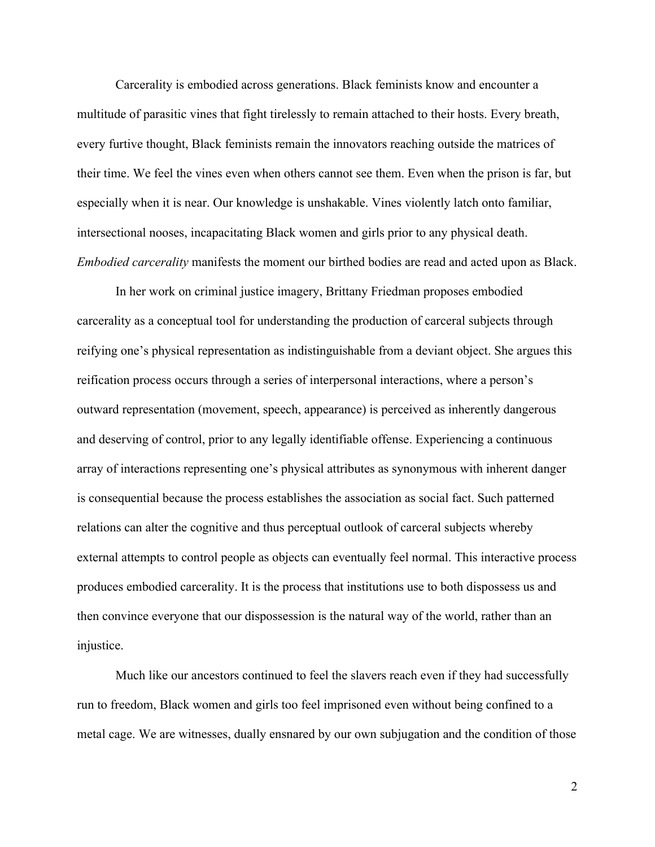Carcerality is embodied across generations. Black feminists know and encounter a multitude of parasitic vines that fight tirelessly to remain attached to their hosts. Every breath, every furtive thought, Black feminists remain the innovators reaching outside the matrices of their time. We feel the vines even when others cannot see them. Even when the prison is far, but especially when it is near. Our knowledge is unshakable. Vines violently latch onto familiar, intersectional nooses, incapacitating Black women and girls prior to any physical death. *Embodied carcerality* manifests the moment our birthed bodies are read and acted upon as Black.

In her work on criminal justice imagery, Brittany Friedman proposes embodied carcerality as a conceptual tool for understanding the production of carceral subjects through reifying one's physical representation as indistinguishable from a deviant object. She argues this reification process occurs through a series of interpersonal interactions, where a person's outward representation (movement, speech, appearance) is perceived as inherently dangerous and deserving of control, prior to any legally identifiable offense. Experiencing a continuous array of interactions representing one's physical attributes as synonymous with inherent danger is consequential because the process establishes the association as social fact. Such patterned relations can alter the cognitive and thus perceptual outlook of carceral subjects whereby external attempts to control people as objects can eventually feel normal. This interactive process produces embodied carcerality. It is the process that institutions use to both dispossess us and then convince everyone that our dispossession is the natural way of the world, rather than an injustice.

Much like our ancestors continued to feel the slavers reach even if they had successfully run to freedom, Black women and girls too feel imprisoned even without being confined to a metal cage. We are witnesses, dually ensnared by our own subjugation and the condition of those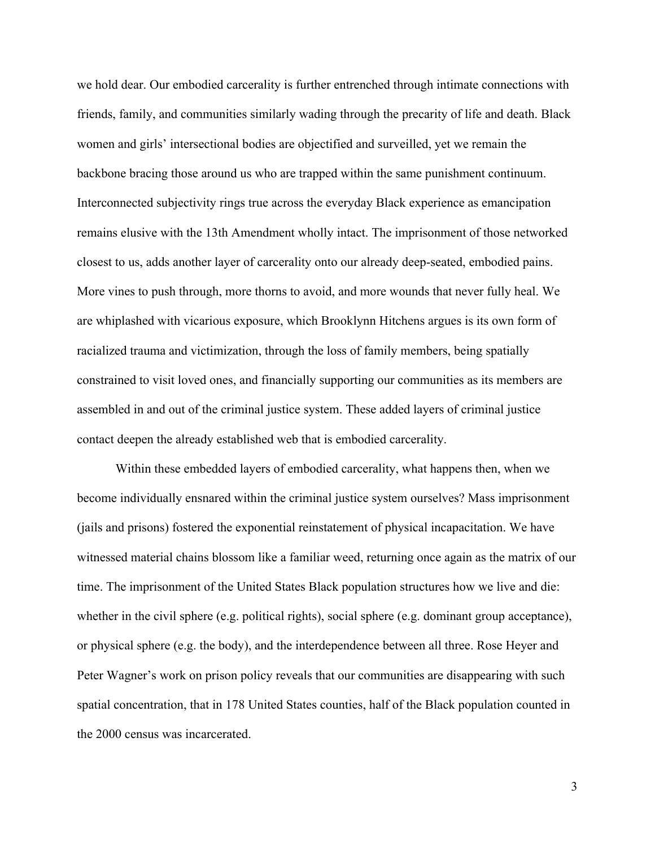we hold dear. Our embodied carcerality is further entrenched through intimate connections with friends, family, and communities similarly wading through the precarity of life and death. Black women and girls' intersectional bodies are objectified and surveilled, yet we remain the backbone bracing those around us who are trapped within the same punishment continuum. Interconnected subjectivity rings true across the everyday Black experience as emancipation remains elusive with the 13th Amendment wholly intact. The imprisonment of those networked closest to us, adds another layer of carcerality onto our already deep-seated, embodied pains. More vines to push through, more thorns to avoid, and more wounds that never fully heal. We are whiplashed with vicarious exposure, which Brooklynn Hitchens argues is its own form of racialized trauma and victimization, through the loss of family members, being spatially constrained to visit loved ones, and financially supporting our communities as its members are assembled in and out of the criminal justice system. These added layers of criminal justice contact deepen the already established web that is embodied carcerality.

Within these embedded layers of embodied carcerality, what happens then, when we become individually ensnared within the criminal justice system ourselves? Mass imprisonment (jails and prisons) fostered the exponential reinstatement of physical incapacitation. We have witnessed material chains blossom like a familiar weed, returning once again as the matrix of our time. The imprisonment of the United States Black population structures how we live and die: whether in the civil sphere (e.g. political rights), social sphere (e.g. dominant group acceptance), or physical sphere (e.g. the body), and the interdependence between all three. Rose Heyer and Peter Wagner's work on prison policy reveals that our communities are disappearing with such spatial concentration, that in 178 United States counties, half of the Black population counted in the 2000 census was incarcerated.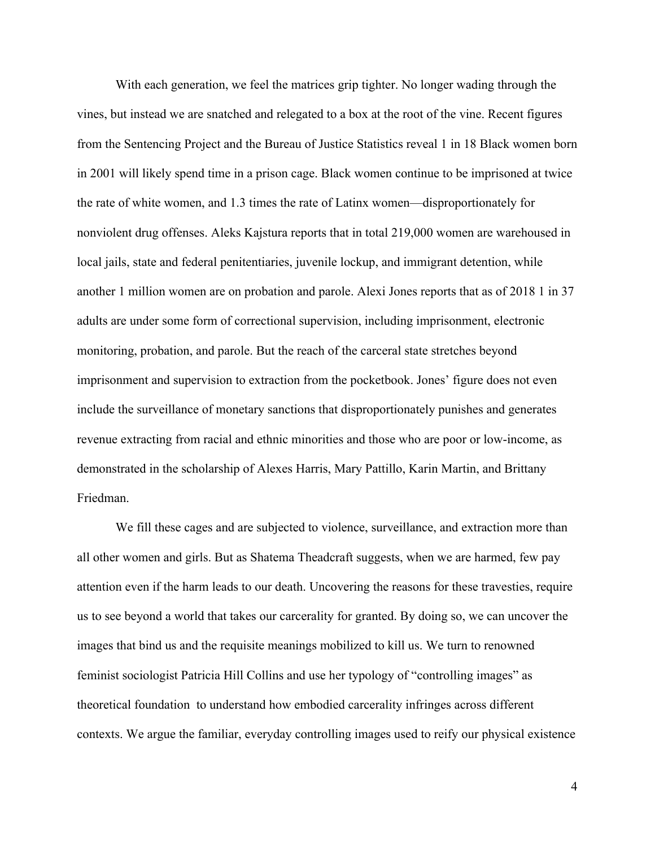With each generation, we feel the matrices grip tighter. No longer wading through the vines, but instead we are snatched and relegated to a box at the root of the vine. Recent figures from the Sentencing Project and the Bureau of Justice Statistics reveal 1 in 18 Black women born in 2001 will likely spend time in a prison cage. Black women continue to be imprisoned at twice the rate of white women, and 1.3 times the rate of Latinx women—disproportionately for nonviolent drug offenses. Aleks Kajstura reports that in total 219,000 women are warehoused in local jails, state and federal penitentiaries, juvenile lockup, and immigrant detention, while another 1 million women are on probation and parole. Alexi Jones reports that as of 2018 1 in 37 adults are under some form of correctional supervision, including imprisonment, electronic monitoring, probation, and parole. But the reach of the carceral state stretches beyond imprisonment and supervision to extraction from the pocketbook. Jones' figure does not even include the surveillance of monetary sanctions that disproportionately punishes and generates revenue extracting from racial and ethnic minorities and those who are poor or low-income, as demonstrated in the scholarship of Alexes Harris, Mary Pattillo, Karin Martin, and Brittany Friedman.

We fill these cages and are subjected to violence, surveillance, and extraction more than all other women and girls. But as Shatema Theadcraft suggests, when we are harmed, few pay attention even if the harm leads to our death. Uncovering the reasons for these travesties, require us to see beyond a world that takes our carcerality for granted. By doing so, we can uncover the images that bind us and the requisite meanings mobilized to kill us. We turn to renowned feminist sociologist Patricia Hill Collins and use her typology of "controlling images" as theoretical foundation to understand how embodied carcerality infringes across different contexts. We argue the familiar, everyday controlling images used to reify our physical existence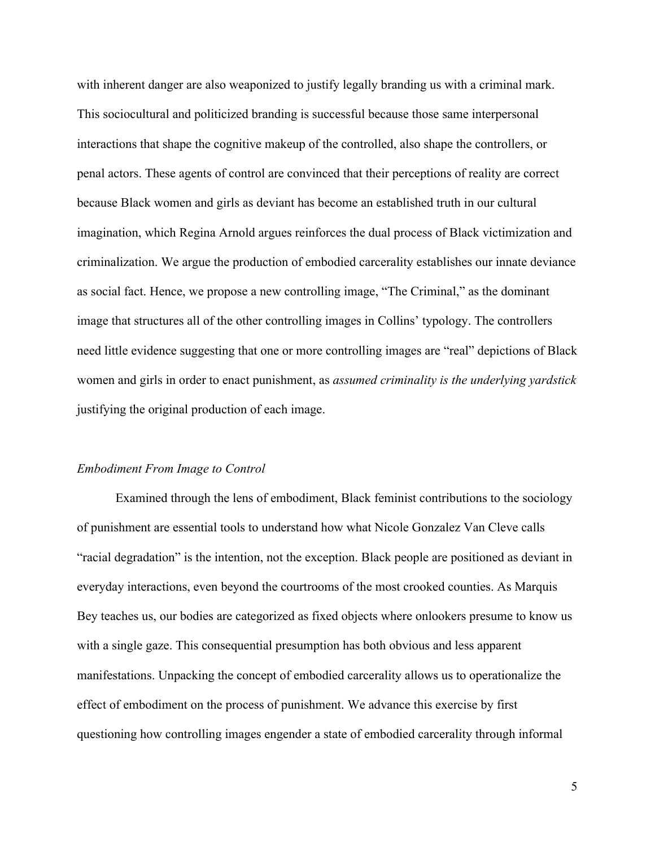with inherent danger are also weaponized to justify legally branding us with a criminal mark. This sociocultural and politicized branding is successful because those same interpersonal interactions that shape the cognitive makeup of the controlled, also shape the controllers, or penal actors. These agents of control are convinced that their perceptions of reality are correct because Black women and girls as deviant has become an established truth in our cultural imagination, which Regina Arnold argues reinforces the dual process of Black victimization and criminalization. We argue the production of embodied carcerality establishes our innate deviance as social fact. Hence, we propose a new controlling image, "The Criminal," as the dominant image that structures all of the other controlling images in Collins' typology. The controllers need little evidence suggesting that one or more controlling images are "real" depictions of Black women and girls in order to enact punishment, as *assumed criminality is the underlying yardstick* justifying the original production of each image.

#### *Embodiment From Image to Control*

Examined through the lens of embodiment, Black feminist contributions to the sociology of punishment are essential tools to understand how what Nicole Gonzalez Van Cleve calls "racial degradation" is the intention, not the exception. Black people are positioned as deviant in everyday interactions, even beyond the courtrooms of the most crooked counties. As Marquis Bey teaches us, our bodies are categorized as fixed objects where onlookers presume to know us with a single gaze. This consequential presumption has both obvious and less apparent manifestations. Unpacking the concept of embodied carcerality allows us to operationalize the effect of embodiment on the process of punishment. We advance this exercise by first questioning how controlling images engender a state of embodied carcerality through informal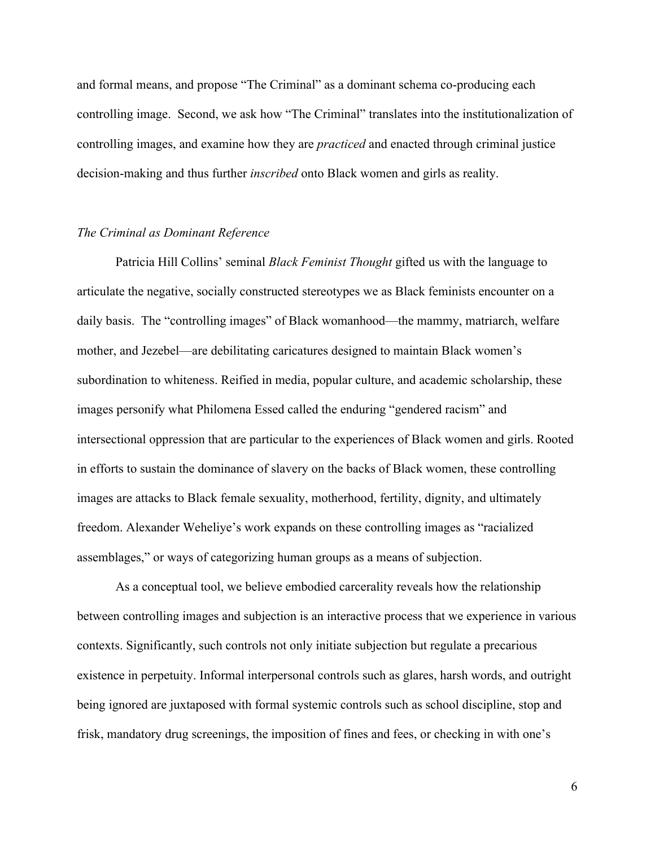and formal means, and propose "The Criminal" as a dominant schema co-producing each controlling image. Second, we ask how "The Criminal" translates into the institutionalization of controlling images, and examine how they are *practiced* and enacted through criminal justice decision-making and thus further *inscribed* onto Black women and girls as reality.

### *The Criminal as Dominant Reference*

Patricia Hill Collins' seminal *Black Feminist Thought* gifted us with the language to articulate the negative, socially constructed stereotypes we as Black feminists encounter on a daily basis. The "controlling images" of Black womanhood—the mammy, matriarch, welfare mother, and Jezebel—are debilitating caricatures designed to maintain Black women's subordination to whiteness. Reified in media, popular culture, and academic scholarship, these images personify what Philomena Essed called the enduring "gendered racism" and intersectional oppression that are particular to the experiences of Black women and girls. Rooted in efforts to sustain the dominance of slavery on the backs of Black women, these controlling images are attacks to Black female sexuality, motherhood, fertility, dignity, and ultimately freedom. Alexander Weheliye's work expands on these controlling images as "racialized assemblages," or ways of categorizing human groups as a means of subjection.

As a conceptual tool, we believe embodied carcerality reveals how the relationship between controlling images and subjection is an interactive process that we experience in various contexts. Significantly, such controls not only initiate subjection but regulate a precarious existence in perpetuity. Informal interpersonal controls such as glares, harsh words, and outright being ignored are juxtaposed with formal systemic controls such as school discipline, stop and frisk, mandatory drug screenings, the imposition of fines and fees, or checking in with one's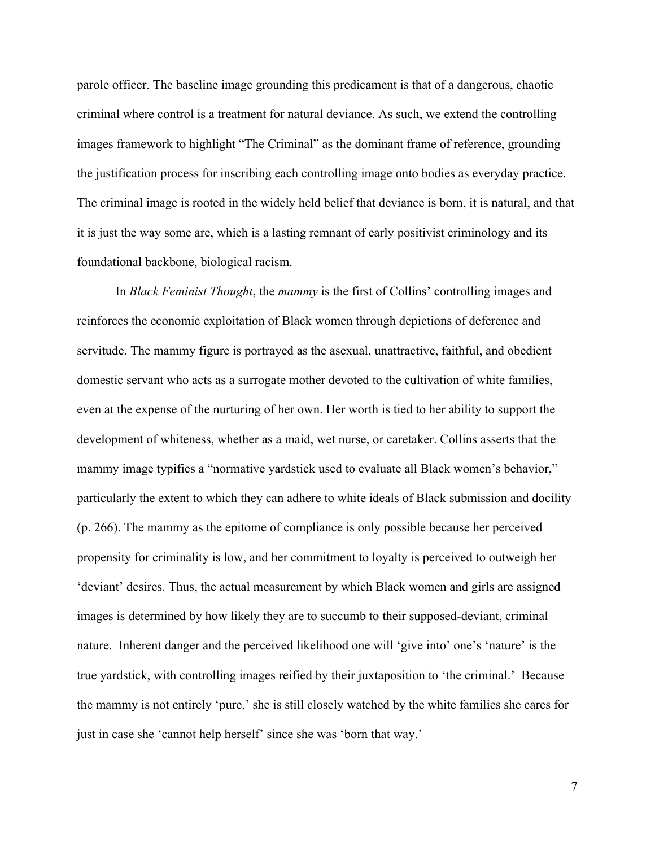parole officer. The baseline image grounding this predicament is that of a dangerous, chaotic criminal where control is a treatment for natural deviance. As such, we extend the controlling images framework to highlight "The Criminal" as the dominant frame of reference, grounding the justification process for inscribing each controlling image onto bodies as everyday practice. The criminal image is rooted in the widely held belief that deviance is born, it is natural, and that it is just the way some are, which is a lasting remnant of early positivist criminology and its foundational backbone, biological racism.

In *Black Feminist Thought*, the *mammy* is the first of Collins' controlling images and reinforces the economic exploitation of Black women through depictions of deference and servitude. The mammy figure is portrayed as the asexual, unattractive, faithful, and obedient domestic servant who acts as a surrogate mother devoted to the cultivation of white families, even at the expense of the nurturing of her own. Her worth is tied to her ability to support the development of whiteness, whether as a maid, wet nurse, or caretaker. Collins asserts that the mammy image typifies a "normative yardstick used to evaluate all Black women's behavior," particularly the extent to which they can adhere to white ideals of Black submission and docility (p. 266). The mammy as the epitome of compliance is only possible because her perceived propensity for criminality is low, and her commitment to loyalty is perceived to outweigh her 'deviant' desires. Thus, the actual measurement by which Black women and girls are assigned images is determined by how likely they are to succumb to their supposed-deviant, criminal nature. Inherent danger and the perceived likelihood one will 'give into' one's 'nature' is the true yardstick, with controlling images reified by their juxtaposition to 'the criminal.' Because the mammy is not entirely 'pure,' she is still closely watched by the white families she cares for just in case she 'cannot help herself' since she was 'born that way.'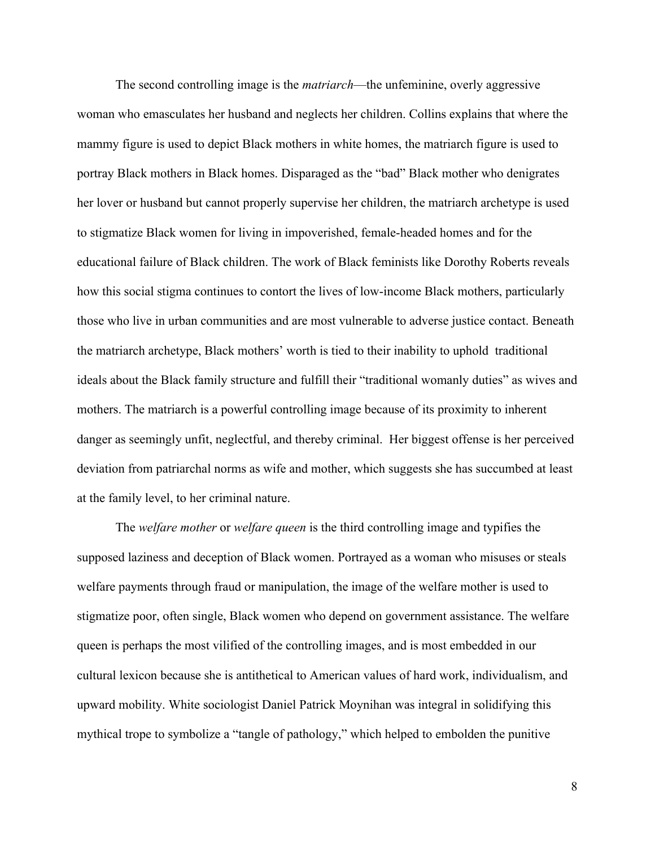The second controlling image is the *matriarch*—the unfeminine, overly aggressive woman who emasculates her husband and neglects her children. Collins explains that where the mammy figure is used to depict Black mothers in white homes, the matriarch figure is used to portray Black mothers in Black homes. Disparaged as the "bad" Black mother who denigrates her lover or husband but cannot properly supervise her children, the matriarch archetype is used to stigmatize Black women for living in impoverished, female-headed homes and for the educational failure of Black children. The work of Black feminists like Dorothy Roberts reveals how this social stigma continues to contort the lives of low-income Black mothers, particularly those who live in urban communities and are most vulnerable to adverse justice contact. Beneath the matriarch archetype, Black mothers' worth is tied to their inability to uphold traditional ideals about the Black family structure and fulfill their "traditional womanly duties" as wives and mothers. The matriarch is a powerful controlling image because of its proximity to inherent danger as seemingly unfit, neglectful, and thereby criminal. Her biggest offense is her perceived deviation from patriarchal norms as wife and mother, which suggests she has succumbed at least at the family level, to her criminal nature.

The *welfare mother* or *welfare queen* is the third controlling image and typifies the supposed laziness and deception of Black women. Portrayed as a woman who misuses or steals welfare payments through fraud or manipulation, the image of the welfare mother is used to stigmatize poor, often single, Black women who depend on government assistance. The welfare queen is perhaps the most vilified of the controlling images, and is most embedded in our cultural lexicon because she is antithetical to American values of hard work, individualism, and upward mobility. White sociologist Daniel Patrick Moynihan was integral in solidifying this mythical trope to symbolize a "tangle of pathology," which helped to embolden the punitive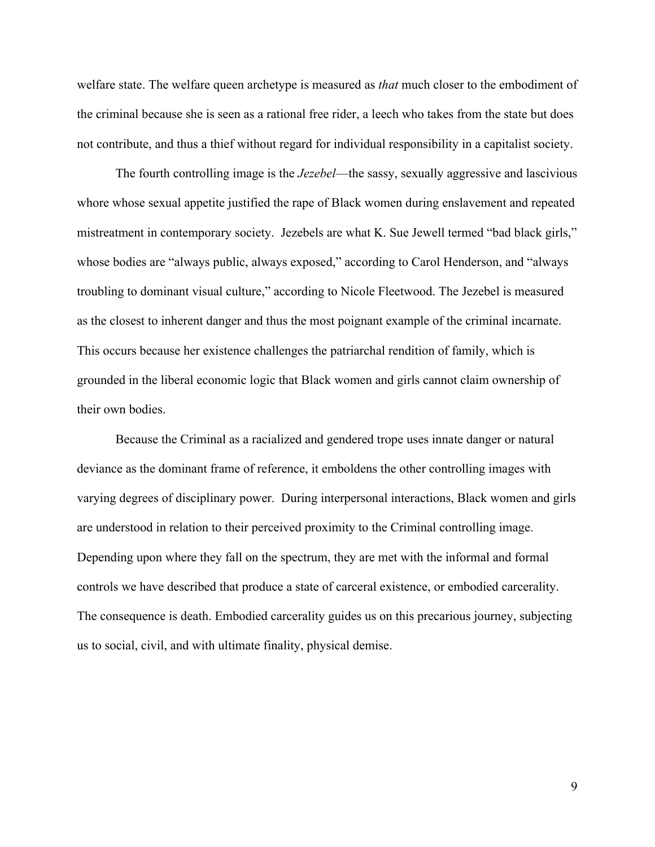welfare state. The welfare queen archetype is measured as *that* much closer to the embodiment of the criminal because she is seen as a rational free rider, a leech who takes from the state but does not contribute, and thus a thief without regard for individual responsibility in a capitalist society.

The fourth controlling image is the *Jezebel*—the sassy, sexually aggressive and lascivious whore whose sexual appetite justified the rape of Black women during enslavement and repeated mistreatment in contemporary society. Jezebels are what K. Sue Jewell termed "bad black girls," whose bodies are "always public, always exposed," according to Carol Henderson, and "always troubling to dominant visual culture," according to Nicole Fleetwood. The Jezebel is measured as the closest to inherent danger and thus the most poignant example of the criminal incarnate. This occurs because her existence challenges the patriarchal rendition of family, which is grounded in the liberal economic logic that Black women and girls cannot claim ownership of their own bodies.

Because the Criminal as a racialized and gendered trope uses innate danger or natural deviance as the dominant frame of reference, it emboldens the other controlling images with varying degrees of disciplinary power. During interpersonal interactions, Black women and girls are understood in relation to their perceived proximity to the Criminal controlling image. Depending upon where they fall on the spectrum, they are met with the informal and formal controls we have described that produce a state of carceral existence, or embodied carcerality. The consequence is death. Embodied carcerality guides us on this precarious journey, subjecting us to social, civil, and with ultimate finality, physical demise.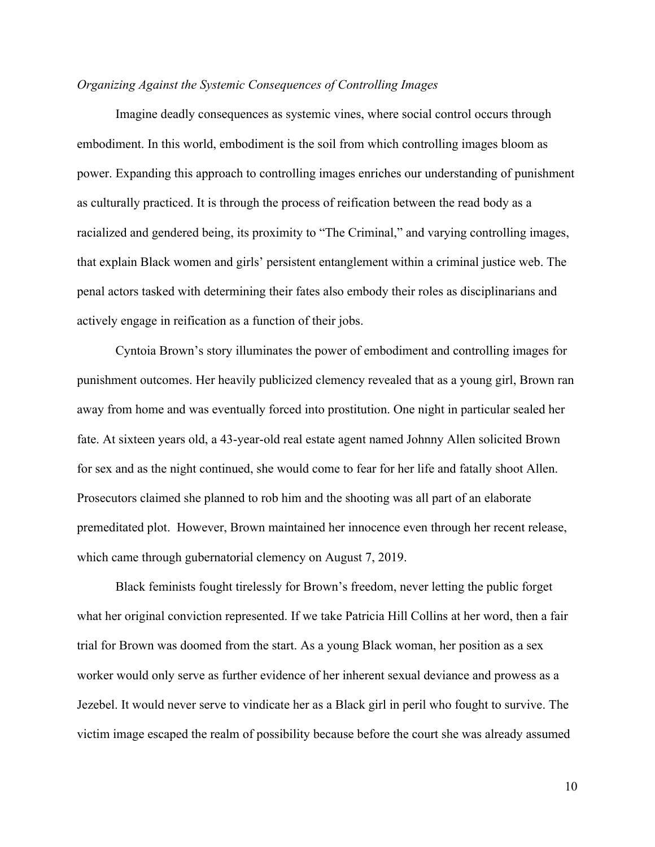# *Organizing Against the Systemic Consequences of Controlling Images*

Imagine deadly consequences as systemic vines, where social control occurs through embodiment. In this world, embodiment is the soil from which controlling images bloom as power. Expanding this approach to controlling images enriches our understanding of punishment as culturally practiced. It is through the process of reification between the read body as a racialized and gendered being, its proximity to "The Criminal," and varying controlling images, that explain Black women and girls' persistent entanglement within a criminal justice web. The penal actors tasked with determining their fates also embody their roles as disciplinarians and actively engage in reification as a function of their jobs.

Cyntoia Brown's story illuminates the power of embodiment and controlling images for punishment outcomes. Her heavily publicized clemency revealed that as a young girl, Brown ran away from home and was eventually forced into prostitution. One night in particular sealed her fate. At sixteen years old, a 43-year-old real estate agent named Johnny Allen solicited Brown for sex and as the night continued, she would come to fear for her life and fatally shoot Allen. Prosecutors claimed she planned to rob him and the shooting was all part of an elaborate premeditated plot. However, Brown maintained her innocence even through her recent release, which came through gubernatorial clemency on August 7, 2019.

Black feminists fought tirelessly for Brown's freedom, never letting the public forget what her original conviction represented. If we take Patricia Hill Collins at her word, then a fair trial for Brown was doomed from the start. As a young Black woman, her position as a sex worker would only serve as further evidence of her inherent sexual deviance and prowess as a Jezebel. It would never serve to vindicate her as a Black girl in peril who fought to survive. The victim image escaped the realm of possibility because before the court she was already assumed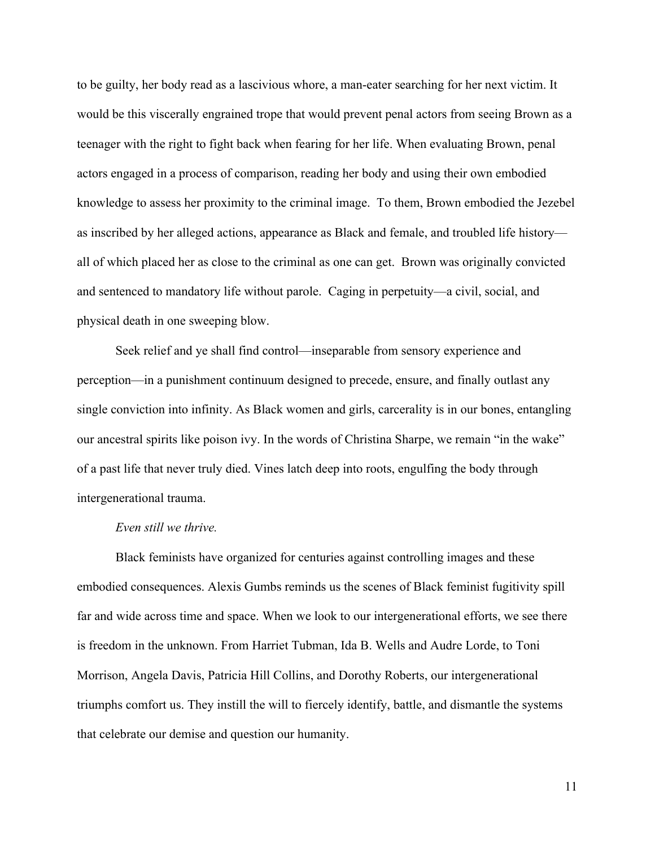to be guilty, her body read as a lascivious whore, a man-eater searching for her next victim. It would be this viscerally engrained trope that would prevent penal actors from seeing Brown as a teenager with the right to fight back when fearing for her life. When evaluating Brown, penal actors engaged in a process of comparison, reading her body and using their own embodied knowledge to assess her proximity to the criminal image. To them, Brown embodied the Jezebel as inscribed by her alleged actions, appearance as Black and female, and troubled life history all of which placed her as close to the criminal as one can get. Brown was originally convicted and sentenced to mandatory life without parole. Caging in perpetuity—a civil, social, and physical death in one sweeping blow.

Seek relief and ye shall find control—inseparable from sensory experience and perception—in a punishment continuum designed to precede, ensure, and finally outlast any single conviction into infinity. As Black women and girls, carcerality is in our bones, entangling our ancestral spirits like poison ivy. In the words of Christina Sharpe, we remain "in the wake" of a past life that never truly died. Vines latch deep into roots, engulfing the body through intergenerational trauma.

### *Even still we thrive.*

Black feminists have organized for centuries against controlling images and these embodied consequences. Alexis Gumbs reminds us the scenes of Black feminist fugitivity spill far and wide across time and space. When we look to our intergenerational efforts, we see there is freedom in the unknown. From Harriet Tubman, Ida B. Wells and Audre Lorde, to Toni Morrison, Angela Davis, Patricia Hill Collins, and Dorothy Roberts, our intergenerational triumphs comfort us. They instill the will to fiercely identify, battle, and dismantle the systems that celebrate our demise and question our humanity.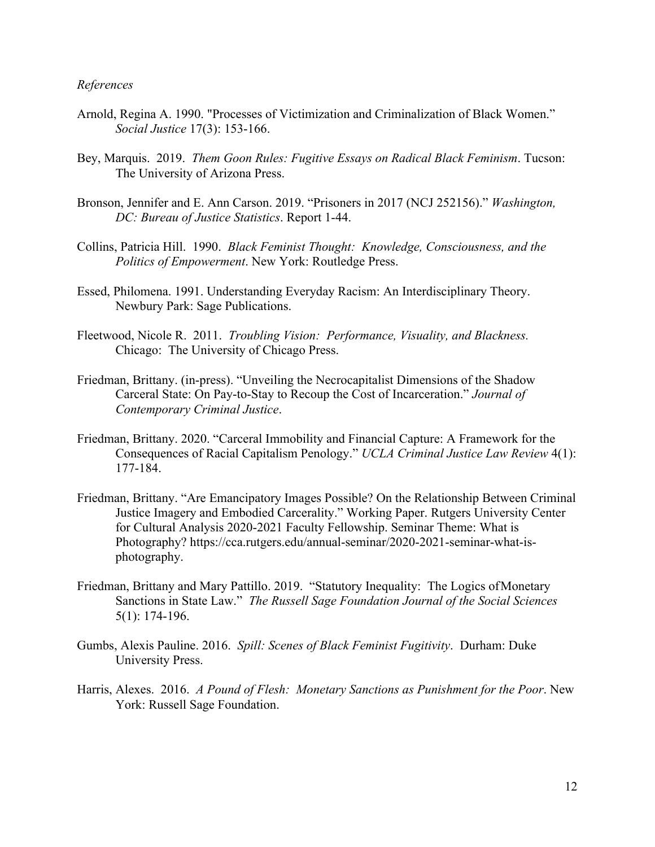### *References*

- Arnold, Regina A. 1990. "Processes of Victimization and Criminalization of Black Women." *Social Justice* 17(3): 153-166.
- Bey, Marquis. 2019. *Them Goon Rules: Fugitive Essays on Radical Black Feminism*. Tucson: The University of Arizona Press.
- Bronson, Jennifer and E. Ann Carson. 2019. "Prisoners in 2017 (NCJ 252156)." *Washington, DC: Bureau of Justice Statistics*. Report 1-44.
- Collins, Patricia Hill. 1990. *Black Feminist Thought: Knowledge, Consciousness, and the Politics of Empowerment*. New York: Routledge Press.
- Essed, Philomena. 1991. Understanding Everyday Racism: An Interdisciplinary Theory. Newbury Park: Sage Publications.
- Fleetwood, Nicole R. 2011. *Troubling Vision: Performance, Visuality, and Blackness.* Chicago: The University of Chicago Press.
- Friedman, Brittany. (in-press). "Unveiling the Necrocapitalist Dimensions of the Shadow Carceral State: On Pay-to-Stay to Recoup the Cost of Incarceration." *Journal of Contemporary Criminal Justice*.
- Friedman, Brittany. 2020. "Carceral Immobility and Financial Capture: A Framework for the Consequences of Racial Capitalism Penology." *UCLA Criminal Justice Law Review* 4(1): 177-184.
- Friedman, Brittany. "Are Emancipatory Images Possible? On the Relationship Between Criminal Justice Imagery and Embodied Carcerality." Working Paper. Rutgers University Center for Cultural Analysis 2020-2021 Faculty Fellowship. Seminar Theme: What is Photography? https://cca.rutgers.edu/annual-seminar/2020-2021-seminar-what-isphotography.
- Friedman, Brittany and Mary Pattillo. 2019. "Statutory Inequality: The Logics ofMonetary Sanctions in State Law." *The Russell Sage Foundation Journal of the Social Sciences*  5(1): 174-196.
- Gumbs, Alexis Pauline. 2016. *Spill: Scenes of Black Feminist Fugitivity*. Durham: Duke University Press.
- Harris, Alexes. 2016. *A Pound of Flesh: Monetary Sanctions as Punishment for the Poor*. New York: Russell Sage Foundation.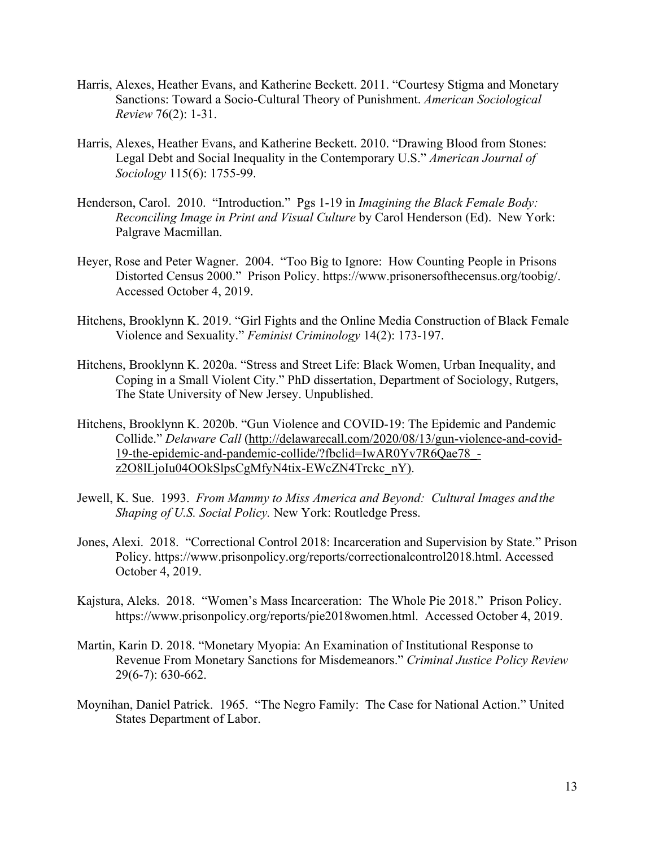- Harris, Alexes, Heather Evans, and Katherine Beckett. 2011. "Courtesy Stigma and Monetary Sanctions: Toward a Socio-Cultural Theory of Punishment. *American Sociological Review* 76(2): 1-31.
- Harris, Alexes, Heather Evans, and Katherine Beckett. 2010. "Drawing Blood from Stones: Legal Debt and Social Inequality in the Contemporary U.S." *American Journal of Sociology* 115(6): 1755-99.
- Henderson, Carol. 2010. "Introduction." Pgs 1-19 in *Imagining the Black Female Body: Reconciling Image in Print and Visual Culture* by Carol Henderson (Ed). New York: Palgrave Macmillan.
- Heyer, Rose and Peter Wagner. 2004. "Too Big to Ignore: How Counting People in Prisons Distorted Census 2000." Prison Policy. https://www.prisonersofthecensus.org/toobig/. Accessed October 4, 2019.
- Hitchens, Brooklynn K. 2019. "Girl Fights and the Online Media Construction of Black Female Violence and Sexuality." *Feminist Criminology* 14(2): 173-197.
- Hitchens, Brooklynn K. 2020a. "Stress and Street Life: Black Women, Urban Inequality, and Coping in a Small Violent City." PhD dissertation, Department of Sociology, Rutgers, The State University of New Jersey. Unpublished.
- Hitchens, Brooklynn K. 2020b. "Gun Violence and COVID-19: The Epidemic and Pandemic Collide." *Delaware Call* (http://delawarecall.com/2020/08/13/gun-violence-and-covid-19-the-epidemic-and-pandemic-collide/?fbclid=IwAR0Yv7R6Qae78\_ z2O8lLjoIu04OOkSlpsCgMfyN4tix-EWcZN4Trckc\_nY).
- Jewell, K. Sue. 1993. *From Mammy to Miss America and Beyond: Cultural Images andthe Shaping of U.S. Social Policy.* New York: Routledge Press.
- Jones, Alexi. 2018. "Correctional Control 2018: Incarceration and Supervision by State." Prison Policy. https://www.prisonpolicy.org/reports/correctionalcontrol2018.html. Accessed October 4, 2019.
- Kajstura, Aleks. 2018. "Women's Mass Incarceration: The Whole Pie 2018." Prison Policy. https://www.prisonpolicy.org/reports/pie2018women.html. Accessed October 4, 2019.
- Martin, Karin D. 2018. "Monetary Myopia: An Examination of Institutional Response to Revenue From Monetary Sanctions for Misdemeanors." *Criminal Justice Policy Review*  29(6-7): 630-662.
- Moynihan, Daniel Patrick. 1965. "The Negro Family: The Case for National Action." United States Department of Labor.